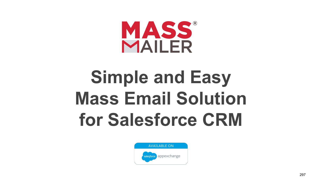

# **Simple and Easy Mass Email Solution for Salesforce CRM**

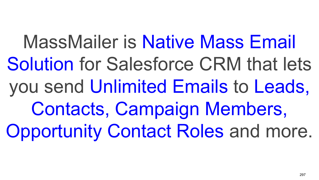MassMailer is Native Mass Email Solution for Salesforce CRM that lets you send Unlimited Emails to Leads, Contacts, Campaign Members, Opportunity Contact Roles and more.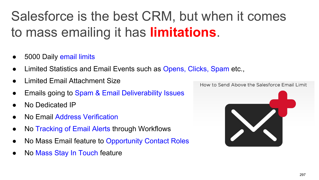### Salesforce is the best CRM, but when it comes to mass emailing it has **limitations**.

- 5000 Daily email limits
- Limited Statistics and Email Events such as Opens, Clicks, Spam etc.,
- **Limited Email Attachment Size**
- Emails going to Spam & Email Deliverability Issues
- No Dedicated IP
- No Email Address Verification
- No Tracking of Email Alerts through Workflows
- No Mass Email feature to Opportunity Contact Roles
- No Mass Stay In Touch feature

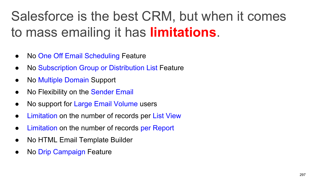### Salesforce is the best CRM, but when it comes to mass emailing it has **limitations**.

- No One Off Email Scheduling Feature
- No Subscription Group or Distribution List Feature
- No Multiple Domain Support
- No Flexibility on the Sender Email
- No support for Large Email Volume users
- Limitation on the number of records per List View
- Limitation on the number of records per Report
- No HTML Email Template Builder
- No Drip Campaign Feature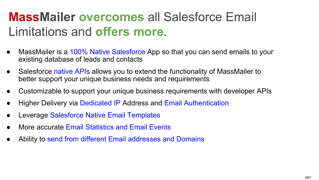#### **MassMailer overcomes** all Salesforce Email Limitations and **offers more**.

- MassMailer is a 100% Native Salesforce App so that you can send emails to your existing database of leads and contacts
- Salesforce native APIs allows you to extend the functionality of MassMailer to better support your unique business needs and requirements
- Customizable to support your unique business requirements with developer APIs
- Higher Delivery via Dedicated IP Address and Email Authentication
- Leverage Salesforce Native Email Templates
- More accurate Email Statistics and Email Events
- Ability to send from different Email addresses and Domains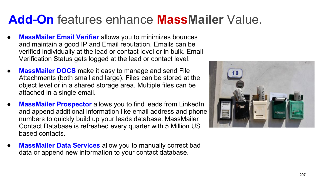#### **Add-On** features enhance **MassMailer** Value.

- **MassMailer Email Verifier** allows you to minimizes bounces and maintain a good IP and Email reputation. Emails can be verified individually at the lead or contact level or in bulk. Email Verification Status gets logged at the lead or contact level.
- **MassMailer DOCS** make it easy to manage and send File Attachments (both small and large). Files can be stored at the object level or in a shared storage area. Multiple files can be attached in a single email.
- **MassMailer Prospector** allows you to find leads from LinkedIn and append additional information like email address and phone numbers to quickly build up your leads database. MassMailer Contact Database is refreshed every quarter with 5 Million US based contacts.
- **MassMailer Data Services** allow you to manually correct bad data or append new information to your contact database.

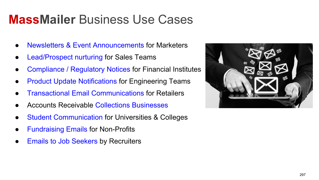#### **MassMailer** Business Use Cases

- **Newsletters & Event Announcements for Marketers**
- Lead/Prospect nurturing for Sales Teams
- Compliance / Regulatory Notices for Financial Institutes
- **Product Update Notifications for Engineering Teams**
- **Transactional Email Communications for Retailers**
- Accounts Receivable Collections Businesses
- **Student Communication for Universities & Colleges**
- **Fundraising Emails for Non-Profits**
- **Emails to Job Seekers by Recruiters**

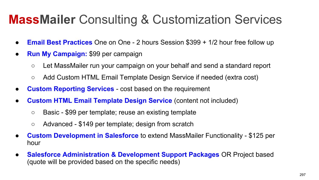#### **MassMailer** Consulting & Customization Services

- **Email Best Practices** One on One 2 hours Session \$399 + 1/2 hour free follow up
- **Run My Campaign:** \$99 per campaign
	- Let MassMailer run your campaign on your behalf and send a standard report
	- Add Custom HTML Email Template Design Service if needed (extra cost)
- **Custom Reporting Services** cost based on the requirement
- **Custom HTML Email Template Design Service** (content not included)
	- Basic \$99 per template; reuse an existing template
	- Advanced \$149 per template; design from scratch
- **Custom Development in Salesforce** to extend MassMailer Functionality \$125 per hour
- **Salesforce Administration & Development Support Packages** OR Project based (quote will be provided based on the specific needs)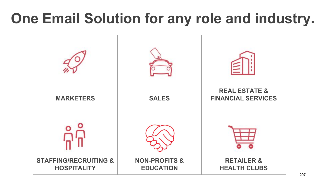### **One Email Solution for any role and industry.**

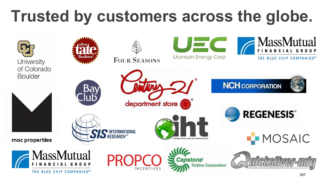# **Trusted by customers across the globe.**

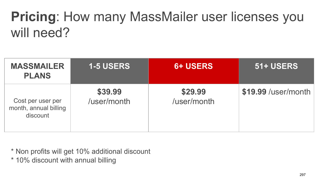### **Pricing**: How many MassMailer user licenses you will need?

| <b>MASSMAILER</b><br><b>PLANS</b>                      | <b>1-5 USERS</b>       | <b>6+ USERS</b>        | 51+ USERS           |
|--------------------------------------------------------|------------------------|------------------------|---------------------|
| Cost per user per<br>month, annual billing<br>discount | \$39.99<br>/user/month | \$29.99<br>/user/month | \$19.99 /user/month |

\* Non profits will get 10% additional discount

\* 10% discount with annual billing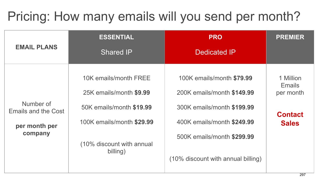### Pricing: How many emails will you send per month?

|                                                              | <b>ESSENTIAL</b>                                      | <b>PRO</b>                                                                 | <b>PREMIER</b>                          |  |
|--------------------------------------------------------------|-------------------------------------------------------|----------------------------------------------------------------------------|-----------------------------------------|--|
| <b>EMAIL PLANS</b>                                           | <b>Shared IP</b>                                      | <b>Dedicated IP</b>                                                        |                                         |  |
| Number of<br>Emails and the Cost<br>per month per<br>company | 10K emails/month FREE<br>25K emails/month \$9.99      | 100K emails/month \$79.99<br>200K emails/month \$149.99                    | 1 Million<br><b>Emails</b><br>per month |  |
|                                                              | 50K emails/month \$19.99<br>100K emails/month \$29.99 | 300K emails/month \$199.99<br><b>Contact</b><br>400K emails/month \$249.99 |                                         |  |
|                                                              | (10% discount with annual<br>billing)                 | 500K emails/month \$299.99                                                 | <b>Sales</b>                            |  |
|                                                              |                                                       | (10% discount with annual billing)                                         |                                         |  |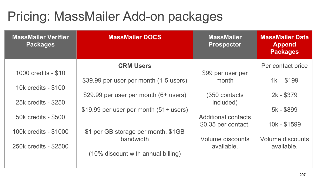### Pricing: MassMailer Add-on packages

| <b>MassMailer Verifier</b><br><b>Packages</b> | <b>MassMailer DOCS</b>                 | <b>MassMailer</b><br><b>Prospector</b> | <b>MassMailer Data</b><br><b>Append</b><br><b>Packages</b> |
|-----------------------------------------------|----------------------------------------|----------------------------------------|------------------------------------------------------------|
| 1000 credits - \$10                           | <b>CRM Users</b>                       | \$99 per user per                      | Per contact price                                          |
| 10k credits - \$100                           | \$39.99 per user per month (1-5 users) | month                                  | $1k - $199$                                                |
| 25k credits - \$250                           | \$29.99 per user per month (6+ users)  | (350 contacts)<br>included)            | 2k - \$379                                                 |
| 50k credits - \$500                           | \$19.99 per user per month (51+ users) | Additional contacts                    | 5k - \$899                                                 |
| 100k credits - \$1000                         | \$1 per GB storage per month, \$1GB    | \$0.35 per contact.                    | 10k - \$1599                                               |
| 250k credits - \$2500                         | bandwidth                              | Volume discounts<br>available.         | Volume discounts<br>available.                             |
|                                               | (10% discount with annual billing)     |                                        |                                                            |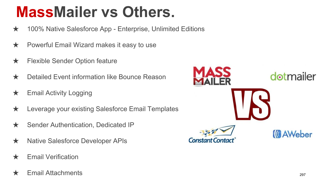## **MassMailer vs Others.**

- ★ 100% Native Salesforce App Enterprise, Unlimited Editions
- ★ Powerful Email Wizard makes it easy to use
- **★** Flexible Sender Option feature
- ★ Detailed Event information like Bounce Reason
- $\star$  Email Activity Logging
- ★ Leverage your existing Salesforce Email Templates
- ★ Sender Authentication, Dedicated IP
- ★ Native Salesforce Developer APIs
- $\star$  Email Verification
- $\frac{1}{2}$  Email Attachments 297